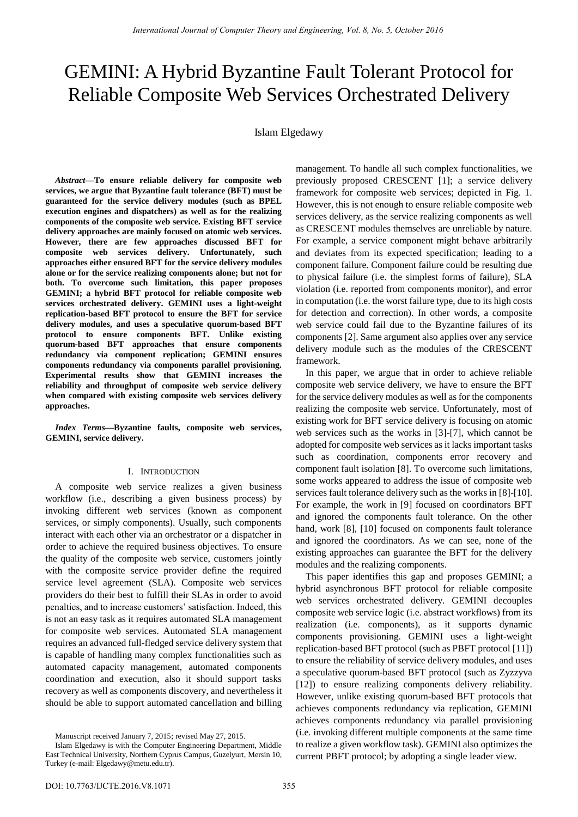# GEMINI: A Hybrid Byzantine Fault Tolerant Protocol for Reliable Composite Web Services Orchestrated Delivery

## Islam Elgedawy

*Abstract***—To ensure reliable delivery for composite web services, we argue that Byzantine fault tolerance (BFT) must be guaranteed for the service delivery modules (such as BPEL execution engines and dispatchers) as well as for the realizing components of the composite web service. Existing BFT service delivery approaches are mainly focused on atomic web services. However, there are few approaches discussed BFT for composite web services delivery. Unfortunately, such approaches either ensured BFT for the service delivery modules alone or for the service realizing components alone; but not for both. To overcome such limitation, this paper proposes GEMINI; a hybrid BFT protocol for reliable composite web services orchestrated delivery. GEMINI uses a light-weight replication-based BFT protocol to ensure the BFT for service delivery modules, and uses a speculative quorum-based BFT protocol to ensure components BFT. Unlike existing quorum-based BFT approaches that ensure components redundancy via component replication; GEMINI ensures components redundancy via components parallel provisioning. Experimental results show that GEMINI increases the reliability and throughput of composite web service delivery when compared with existing composite web services delivery approaches.** 

*Index Terms***—Byzantine faults, composite web services, GEMINI, service delivery.** 

## I. INTRODUCTION

A composite web service realizes a given business workflow (i.e., describing a given business process) by invoking different web services (known as component services, or simply components). Usually, such components interact with each other via an orchestrator or a dispatcher in order to achieve the required business objectives. To ensure the quality of the composite web service, customers jointly with the composite service provider define the required service level agreement (SLA). Composite web services providers do their best to fulfill their SLAs in order to avoid penalties, and to increase customers' satisfaction. Indeed, this is not an easy task as it requires automated SLA management for composite web services. Automated SLA management requires an advanced full-fledged service delivery system that is capable of handling many complex functionalities such as automated capacity management, automated components coordination and execution, also it should support tasks recovery as well as components discovery, and nevertheless it should be able to support automated cancellation and billing

management. To handle all such complex functionalities, we previously proposed CRESCENT [1]; a service delivery framework for composite web services; depicted in Fig. 1. However, this is not enough to ensure reliable composite web services delivery, as the service realizing components as well as CRESCENT modules themselves are unreliable by nature. For example, a service component might behave arbitrarily and deviates from its expected specification; leading to a component failure. Component failure could be resulting due to physical failure (i.e. the simplest forms of failure), SLA violation (i.e. reported from components monitor), and error in computation (i.e. the worst failure type, due to its high costs for detection and correction). In other words, a composite web service could fail due to the Byzantine failures of its components [2]. Same argument also applies over any service delivery module such as the modules of the CRESCENT framework.

In this paper, we argue that in order to achieve reliable composite web service delivery, we have to ensure the BFT for the service delivery modules as well as for the components realizing the composite web service. Unfortunately, most of existing work for BFT service delivery is focusing on atomic web services such as the works in [3]-[7], which cannot be adopted for composite web services as it lacks important tasks such as coordination, components error recovery and component fault isolation [8]. To overcome such limitations, some works appeared to address the issue of composite web services fault tolerance delivery such as the works in [8]-[10]. For example, the work in [9] focused on coordinators BFT and ignored the components fault tolerance. On the other hand, work [8], [10] focused on components fault tolerance and ignored the coordinators. As we can see, none of the existing approaches can guarantee the BFT for the delivery modules and the realizing components.

This paper identifies this gap and proposes GEMINI; a hybrid asynchronous BFT protocol for reliable composite web services orchestrated delivery. GEMINI decouples composite web service logic (i.e. abstract workflows) from its realization (i.e. components), as it supports dynamic components provisioning. GEMINI uses a light-weight replication-based BFT protocol (such as PBFT protocol [11]) to ensure the reliability of service delivery modules, and uses a speculative quorum-based BFT protocol (such as Zyzzyva [12]) to ensure realizing components delivery reliability. However, unlike existing quorum-based BFT protocols that achieves components redundancy via replication, GEMINI achieves components redundancy via parallel provisioning (i.e. invoking different multiple components at the same time to realize a given workflow task). GEMINI also optimizes the current PBFT protocol; by adopting a single leader view.

Manuscript received January 7, 2015; revised May 27, 2015.

Islam Elgedawy is with the Computer Engineering Department, Middle East Technical University, Northern Cyprus Campus, Guzelyurt, Mersin 10, Turkey (e-mail: Elgedawy@metu.edu.tr).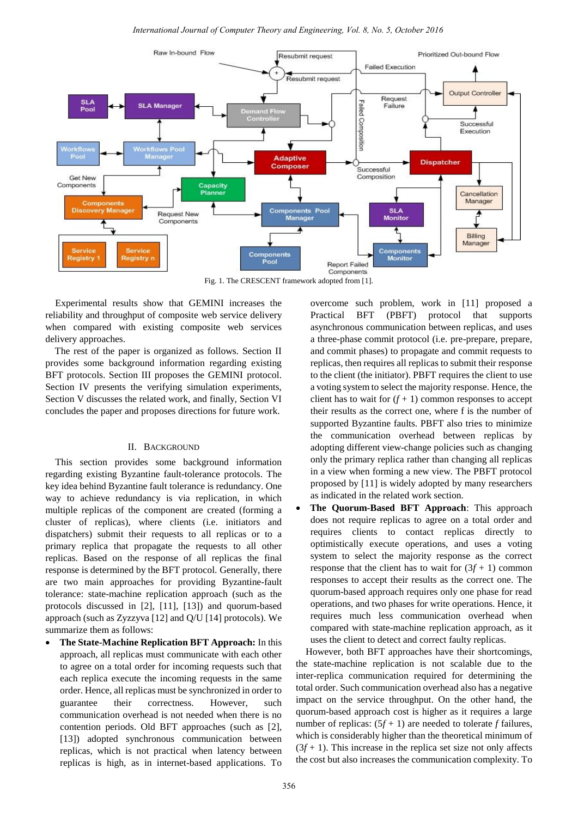

Fig. 1. The CRESCENT framework adopted from [1].

Experimental results show that GEMINI increases the reliability and throughput of composite web service delivery when compared with existing composite web services delivery approaches.

The rest of the paper is organized as follows. Section II provides some background information regarding existing BFT protocols. Section III proposes the GEMINI protocol. Section IV presents the verifying simulation experiments, Section V discusses the related work, and finally, Section VI concludes the paper and proposes directions for future work.

#### II. BACKGROUND

This section provides some background information regarding existing Byzantine fault-tolerance protocols. The key idea behind Byzantine fault tolerance is redundancy. One way to achieve redundancy is via replication, in which multiple replicas of the component are created (forming a cluster of replicas), where clients (i.e. initiators and dispatchers) submit their requests to all replicas or to a primary replica that propagate the requests to all other replicas. Based on the response of all replicas the final response is determined by the BFT protocol. Generally, there are two main approaches for providing Byzantine-fault tolerance: state-machine replication approach (such as the protocols discussed in [2], [11], [13]) and quorum-based approach (such as Zyzzyva [12] and Q/U [14] protocols). We summarize them as follows:

 **The State-Machine Replication BFT Approach:** In this approach, all replicas must communicate with each other to agree on a total order for incoming requests such that each replica execute the incoming requests in the same order. Hence, all replicas must be synchronized in order to guarantee their correctness. However, such communication overhead is not needed when there is no contention periods. Old BFT approaches (such as [2], [13]) adopted synchronous communication between replicas, which is not practical when latency between replicas is high, as in internet-based applications. To overcome such problem, work in [11] proposed a Practical BFT (PBFT) protocol that supports asynchronous communication between replicas, and uses a three-phase commit protocol (i.e. pre-prepare, prepare, and commit phases) to propagate and commit requests to replicas, then requires all replicas to submit their response to the client (the initiator). PBFT requires the client to use a voting system to select the majority response. Hence, the client has to wait for  $(f + 1)$  common responses to accept their results as the correct one, where f is the number of supported Byzantine faults. PBFT also tries to minimize the communication overhead between replicas by adopting different view-change policies such as changing only the primary replica rather than changing all replicas in a view when forming a new view. The PBFT protocol proposed by [11] is widely adopted by many researchers as indicated in the related work section.

 **The Quorum-Based BFT Approach**: This approach does not require replicas to agree on a total order and requires clients to contact replicas directly to optimistically execute operations, and uses a voting system to select the majority response as the correct response that the client has to wait for  $(3f + 1)$  common responses to accept their results as the correct one. The quorum-based approach requires only one phase for read operations, and two phases for write operations. Hence, it requires much less communication overhead when compared with state-machine replication approach, as it uses the client to detect and correct faulty replicas.

However, both BFT approaches have their shortcomings, the state-machine replication is not scalable due to the inter-replica communication required for determining the total order. Such communication overhead also has a negative impact on the service throughput. On the other hand, the quorum-based approach cost is higher as it requires a large number of replicas:  $(5f + 1)$  are needed to tolerate *f* failures, which is considerably higher than the theoretical minimum of  $(3f + 1)$ . This increase in the replica set size not only affects the cost but also increases the communication complexity. To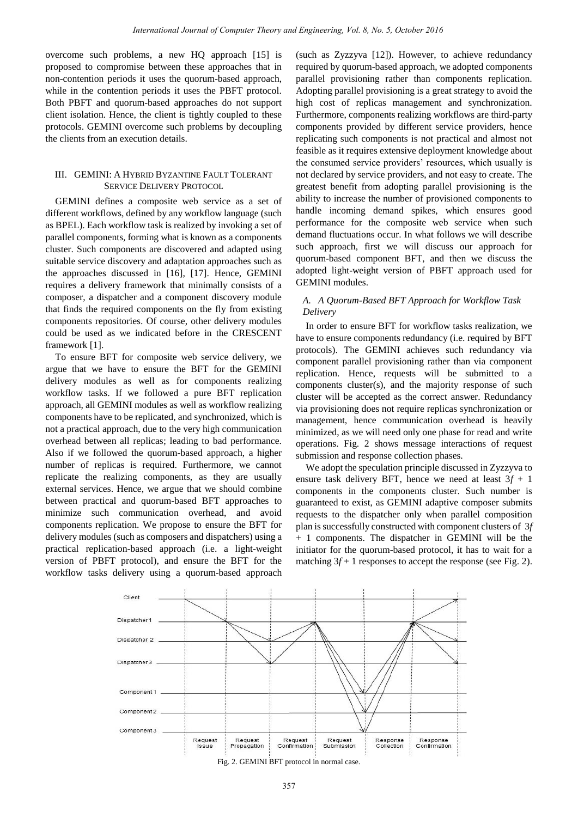overcome such problems, a new HQ approach [15] is proposed to compromise between these approaches that in non-contention periods it uses the quorum-based approach, while in the contention periods it uses the PBFT protocol. Both PBFT and quorum-based approaches do not support client isolation. Hence, the client is tightly coupled to these protocols. GEMINI overcome such problems by decoupling the clients from an execution details.

## III. GEMINI: A HYBRID BYZANTINE FAULT TOLERANT SERVICE DELIVERY PROTOCOL

GEMINI defines a composite web service as a set of different workflows, defined by any workflow language (such as BPEL). Each workflow task is realized by invoking a set of parallel components, forming what is known as a components cluster. Such components are discovered and adapted using suitable service discovery and adaptation approaches such as the approaches discussed in [16], [17]. Hence, GEMINI requires a delivery framework that minimally consists of a composer, a dispatcher and a component discovery module that finds the required components on the fly from existing components repositories. Of course, other delivery modules could be used as we indicated before in the CRESCENT framework [1].

To ensure BFT for composite web service delivery, we argue that we have to ensure the BFT for the GEMINI delivery modules as well as for components realizing workflow tasks. If we followed a pure BFT replication approach, all GEMINI modules as well as workflow realizing components have to be replicated, and synchronized, which is not a practical approach, due to the very high communication overhead between all replicas; leading to bad performance. Also if we followed the quorum-based approach, a higher number of replicas is required. Furthermore, we cannot replicate the realizing components, as they are usually external services. Hence, we argue that we should combine between practical and quorum-based BFT approaches to minimize such communication overhead, and avoid components replication. We propose to ensure the BFT for delivery modules (such as composers and dispatchers) using a practical replication-based approach (i.e. a light-weight version of PBFT protocol), and ensure the BFT for the workflow tasks delivery using a quorum-based approach

(such as Zyzzyva [12]). However, to achieve redundancy required by quorum-based approach, we adopted components parallel provisioning rather than components replication. Adopting parallel provisioning is a great strategy to avoid the high cost of replicas management and synchronization. Furthermore, components realizing workflows are third-party components provided by different service providers, hence replicating such components is not practical and almost not feasible as it requires extensive deployment knowledge about the consumed service providers' resources, which usually is not declared by service providers, and not easy to create. The greatest benefit from adopting parallel provisioning is the ability to increase the number of provisioned components to handle incoming demand spikes, which ensures good performance for the composite web service when such demand fluctuations occur. In what follows we will describe such approach, first we will discuss our approach for quorum-based component BFT, and then we discuss the adopted light-weight version of PBFT approach used for GEMINI modules.

## *A. A Quorum-Based BFT Approach for Workflow Task Delivery*

In order to ensure BFT for workflow tasks realization, we have to ensure components redundancy (i.e. required by BFT protocols). The GEMINI achieves such redundancy via component parallel provisioning rather than via component replication. Hence, requests will be submitted to a components cluster(s), and the majority response of such cluster will be accepted as the correct answer. Redundancy via provisioning does not require replicas synchronization or management, hence communication overhead is heavily minimized, as we will need only one phase for read and write operations. Fig. 2 shows message interactions of request submission and response collection phases.

We adopt the speculation principle discussed in Zyzzyva to ensure task delivery BFT, hence we need at least  $3f + 1$ components in the components cluster. Such number is guaranteed to exist, as GEMINI adaptive composer submits requests to the dispatcher only when parallel composition plan is successfully constructed with component clusters of 3*f* + 1 components. The dispatcher in GEMINI will be the initiator for the quorum-based protocol, it has to wait for a matching  $3f + 1$  responses to accept the response (see Fig. 2).



Fig. 2. GEMINI BFT protocol in normal case.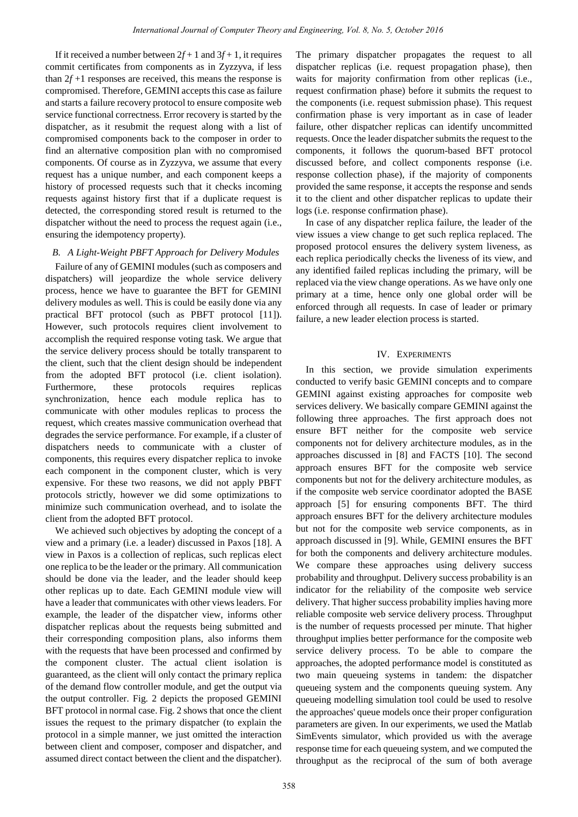If it received a number between  $2f + 1$  and  $3f + 1$ , it requires commit certificates from components as in Zyzzyva, if less than  $2f + 1$  responses are received, this means the response is compromised. Therefore, GEMINI accepts this case as failure and starts a failure recovery protocol to ensure composite web service functional correctness. Error recovery is started by the dispatcher, as it resubmit the request along with a list of compromised components back to the composer in order to find an alternative composition plan with no compromised components. Of course as in Zyzzyva, we assume that every request has a unique number, and each component keeps a history of processed requests such that it checks incoming requests against history first that if a duplicate request is detected, the corresponding stored result is returned to the dispatcher without the need to process the request again (i.e., ensuring the idempotency property).

## *B. A Light-Weight PBFT Approach for Delivery Modules*

Failure of any of GEMINI modules (such as composers and dispatchers) will jeopardize the whole service delivery process, hence we have to guarantee the BFT for GEMINI delivery modules as well. This is could be easily done via any practical BFT protocol (such as PBFT protocol [11]). However, such protocols requires client involvement to accomplish the required response voting task. We argue that the service delivery process should be totally transparent to the client, such that the client design should be independent from the adopted BFT protocol (i.e. client isolation). Furthermore, these protocols requires replicas synchronization, hence each module replica has to communicate with other modules replicas to process the request, which creates massive communication overhead that degrades the service performance. For example, if a cluster of dispatchers needs to communicate with a cluster of components, this requires every dispatcher replica to invoke each component in the component cluster, which is very expensive. For these two reasons, we did not apply PBFT protocols strictly, however we did some optimizations to minimize such communication overhead, and to isolate the client from the adopted BFT protocol.

We achieved such objectives by adopting the concept of a view and a primary (i.e. a leader) discussed in Paxos [18]. A view in Paxos is a collection of replicas, such replicas elect one replica to be the leader or the primary. All communication should be done via the leader, and the leader should keep other replicas up to date. Each GEMINI module view will have a leader that communicates with other views leaders. For example, the leader of the dispatcher view, informs other dispatcher replicas about the requests being submitted and their corresponding composition plans, also informs them with the requests that have been processed and confirmed by the component cluster. The actual client isolation is guaranteed, as the client will only contact the primary replica of the demand flow controller module, and get the output via the output controller. Fig. 2 depicts the proposed GEMINI BFT protocol in normal case. Fig. 2 shows that once the client issues the request to the primary dispatcher (to explain the protocol in a simple manner, we just omitted the interaction between client and composer, composer and dispatcher, and assumed direct contact between the client and the dispatcher).

The primary dispatcher propagates the request to all dispatcher replicas (i.e. request propagation phase), then waits for majority confirmation from other replicas (i.e., request confirmation phase) before it submits the request to the components (i.e. request submission phase). This request confirmation phase is very important as in case of leader failure, other dispatcher replicas can identify uncommitted requests. Once the leader dispatcher submits the request to the components, it follows the quorum-based BFT protocol discussed before, and collect components response (i.e. response collection phase), if the majority of components provided the same response, it accepts the response and sends it to the client and other dispatcher replicas to update their logs (i.e. response confirmation phase).

In case of any dispatcher replica failure, the leader of the view issues a view change to get such replica replaced. The proposed protocol ensures the delivery system liveness, as each replica periodically checks the liveness of its view, and any identified failed replicas including the primary, will be replaced via the view change operations. As we have only one primary at a time, hence only one global order will be enforced through all requests. In case of leader or primary failure, a new leader election process is started.

#### IV. EXPERIMENTS

In this section, we provide simulation experiments conducted to verify basic GEMINI concepts and to compare GEMINI against existing approaches for composite web services delivery. We basically compare GEMINI against the following three approaches. The first approach does not ensure BFT neither for the composite web service components not for delivery architecture modules, as in the approaches discussed in [8] and FACTS [10]. The second approach ensures BFT for the composite web service components but not for the delivery architecture modules, as if the composite web service coordinator adopted the BASE approach [5] for ensuring components BFT. The third approach ensures BFT for the delivery architecture modules but not for the composite web service components, as in approach discussed in [9]. While, GEMINI ensures the BFT for both the components and delivery architecture modules. We compare these approaches using delivery success probability and throughput. Delivery success probability is an indicator for the reliability of the composite web service delivery. That higher success probability implies having more reliable composite web service delivery process. Throughput is the number of requests processed per minute. That higher throughput implies better performance for the composite web service delivery process. To be able to compare the approaches, the adopted performance model is constituted as two main queueing systems in tandem: the dispatcher queueing system and the components queuing system. Any queueing modelling simulation tool could be used to resolve the approaches' queue models once their proper configuration parameters are given. In our experiments, we used the Matlab SimEvents simulator, which provided us with the average response time for each queueing system, and we computed the throughput as the reciprocal of the sum of both average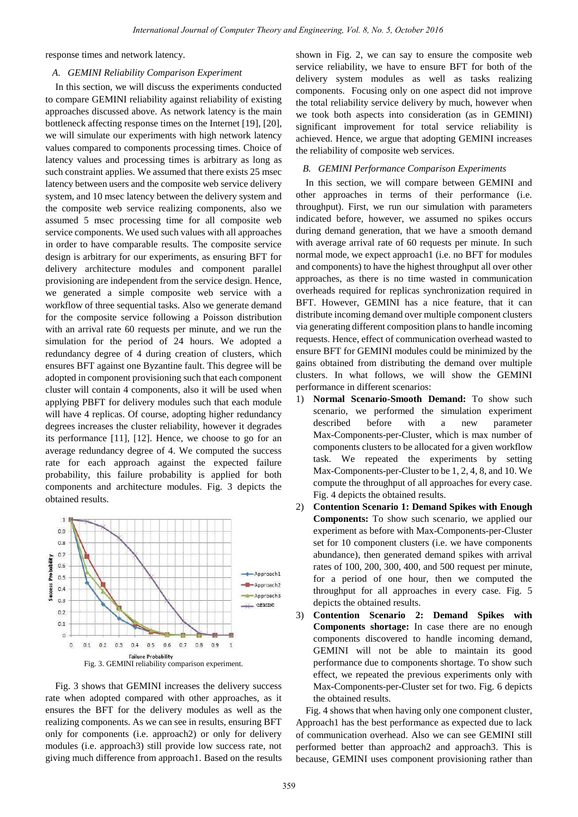response times and network latency.

### *A. GEMINI Reliability Comparison Experiment*

In this section, we will discuss the experiments conducted to compare GEMINI reliability against reliability of existing approaches discussed above. As network latency is the main bottleneck affecting response times on the Internet [19], [20], we will simulate our experiments with high network latency values compared to components processing times. Choice of latency values and processing times is arbitrary as long as such constraint applies. We assumed that there exists 25 msec latency between users and the composite web service delivery system, and 10 msec latency between the delivery system and the composite web service realizing components, also we assumed 5 msec processing time for all composite web service components. We used such values with all approaches in order to have comparable results. The composite service design is arbitrary for our experiments, as ensuring BFT for delivery architecture modules and component parallel provisioning are independent from the service design. Hence, we generated a simple composite web service with a workflow of three sequential tasks. Also we generate demand for the composite service following a Poisson distribution with an arrival rate 60 requests per minute, and we run the simulation for the period of 24 hours. We adopted a redundancy degree of 4 during creation of clusters, which ensures BFT against one Byzantine fault. This degree will be adopted in component provisioning such that each component cluster will contain 4 components, also it will be used when applying PBFT for delivery modules such that each module will have 4 replicas. Of course, adopting higher redundancy degrees increases the cluster reliability, however it degrades its performance [11], [12]. Hence, we choose to go for an average redundancy degree of 4. We computed the success rate for each approach against the expected failure probability, this failure probability is applied for both components and architecture modules. Fig. 3 depicts the obtained results.



Fig. 3 shows that GEMINI increases the delivery success rate when adopted compared with other approaches, as it ensures the BFT for the delivery modules as well as the realizing components. As we can see in results, ensuring BFT only for components (i.e. approach2) or only for delivery modules (i.e. approach3) still provide low success rate, not giving much difference from approach1. Based on the results shown in Fig. 2, we can say to ensure the composite web service reliability, we have to ensure BFT for both of the delivery system modules as well as tasks realizing components. Focusing only on one aspect did not improve the total reliability service delivery by much, however when we took both aspects into consideration (as in GEMINI) significant improvement for total service reliability is achieved. Hence, we argue that adopting GEMINI increases the reliability of composite web services.

#### *B. GEMINI Performance Comparison Experiments*

In this section, we will compare between GEMINI and other approaches in terms of their performance (i.e. throughput). First, we run our simulation with parameters indicated before, however, we assumed no spikes occurs during demand generation, that we have a smooth demand with average arrival rate of 60 requests per minute. In such normal mode, we expect approach1 (i.e. no BFT for modules and components) to have the highest throughput all over other approaches, as there is no time wasted in communication overheads required for replicas synchronization required in BFT. However, GEMINI has a nice feature, that it can distribute incoming demand over multiple component clusters via generating different composition plans to handle incoming requests. Hence, effect of communication overhead wasted to ensure BFT for GEMINI modules could be minimized by the gains obtained from distributing the demand over multiple clusters. In what follows, we will show the GEMINI performance in different scenarios:

- 1) **Normal Scenario-Smooth Demand:** To show such scenario, we performed the simulation experiment described before with a new parameter Max-Components-per-Cluster, which is max number of components clusters to be allocated for a given workflow task. We repeated the experiments by setting Max-Components-per-Cluster to be 1, 2, 4, 8, and 10. We compute the throughput of all approaches for every case. Fig. 4 depicts the obtained results.
- 2) **Contention Scenario 1: Demand Spikes with Enough Components:** To show such scenario, we applied our experiment as before with Max-Components-per-Cluster set for 10 component clusters (i.e. we have components abundance), then generated demand spikes with arrival rates of 100, 200, 300, 400, and 500 request per minute, for a period of one hour, then we computed the throughput for all approaches in every case. Fig. 5 depicts the obtained results.
- 3) **Contention Scenario 2: Demand Spikes with Components shortage:** In case there are no enough components discovered to handle incoming demand, GEMINI will not be able to maintain its good performance due to components shortage. To show such effect, we repeated the previous experiments only with Max-Components-per-Cluster set for two. Fig. 6 depicts the obtained results.

Fig. 4 shows that when having only one component cluster, Approach1 has the best performance as expected due to lack of communication overhead. Also we can see GEMINI still performed better than approach2 and approach3. This is because, GEMINI uses component provisioning rather than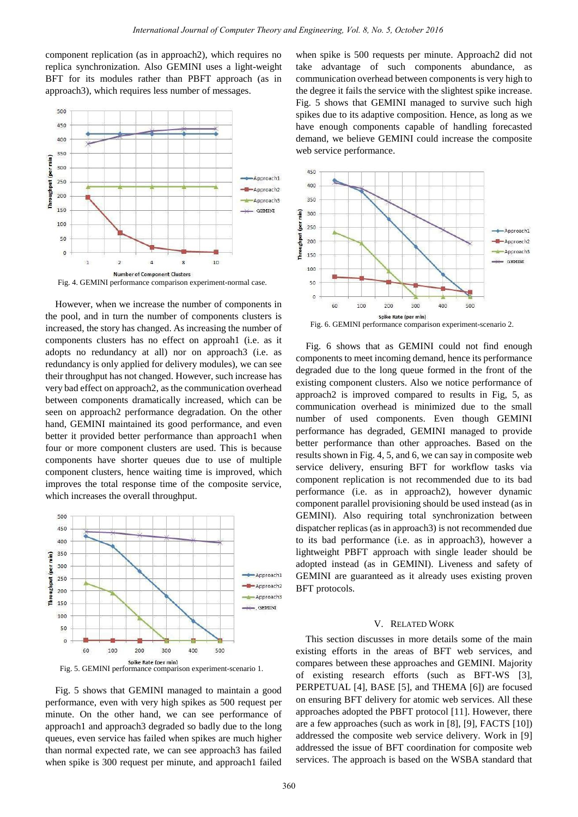component replication (as in approach2), which requires no replica synchronization. Also GEMINI uses a light-weight BFT for its modules rather than PBFT approach (as in approach3), which requires less number of messages.



However, when we increase the number of components in the pool, and in turn the number of components clusters is increased, the story has changed. As increasing the number of components clusters has no effect on approah1 (i.e. as it adopts no redundancy at all) nor on approach3 (i.e. as redundancy is only applied for delivery modules), we can see their throughput has not changed. However, such increase has very bad effect on approach2, as the communication overhead between components dramatically increased, which can be seen on approach2 performance degradation. On the other hand, GEMINI maintained its good performance, and even better it provided better performance than approach1 when four or more component clusters are used. This is because components have shorter queues due to use of multiple component clusters, hence waiting time is improved, which improves the total response time of the composite service, which increases the overall throughput.



Fig. 5 shows that GEMINI managed to maintain a good performance, even with very high spikes as 500 request per minute. On the other hand, we can see performance of approach1 and approach3 degraded so badly due to the long queues, even service has failed when spikes are much higher than normal expected rate, we can see approach3 has failed when spike is 300 request per minute, and approach1 failed

when spike is 500 requests per minute. Approach2 did not take advantage of such components abundance, as communication overhead between components is very high to the degree it fails the service with the slightest spike increase. Fig. 5 shows that GEMINI managed to survive such high spikes due to its adaptive composition. Hence, as long as we have enough components capable of handling forecasted demand, we believe GEMINI could increase the composite web service performance.



Fig. 6 shows that as GEMINI could not find enough components to meet incoming demand, hence its performance degraded due to the long queue formed in the front of the existing component clusters. Also we notice performance of approach2 is improved compared to results in Fig, 5, as communication overhead is minimized due to the small number of used components. Even though GEMINI performance has degraded, GEMINI managed to provide better performance than other approaches. Based on the results shown in Fig. 4, 5, and 6, we can say in composite web service delivery, ensuring BFT for workflow tasks via component replication is not recommended due to its bad performance (i.e. as in approach2), however dynamic component parallel provisioning should be used instead (as in GEMINI). Also requiring total synchronization between dispatcher replicas (as in approach3) is not recommended due to its bad performance (i.e. as in approach3), however a lightweight PBFT approach with single leader should be adopted instead (as in GEMINI). Liveness and safety of GEMINI are guaranteed as it already uses existing proven BFT protocols.

## V. RELATED WORK

This section discusses in more details some of the main existing efforts in the areas of BFT web services, and compares between these approaches and GEMINI. Majority of existing research efforts (such as BFT-WS [3], PERPETUAL [4], BASE [5], and THEMA [6]) are focused on ensuring BFT delivery for atomic web services. All these approaches adopted the PBFT protocol [11]. However, there are a few approaches (such as work in [8], [9], FACTS [10]) addressed the composite web service delivery. Work in [9] addressed the issue of BFT coordination for composite web services. The approach is based on the WSBA standard that